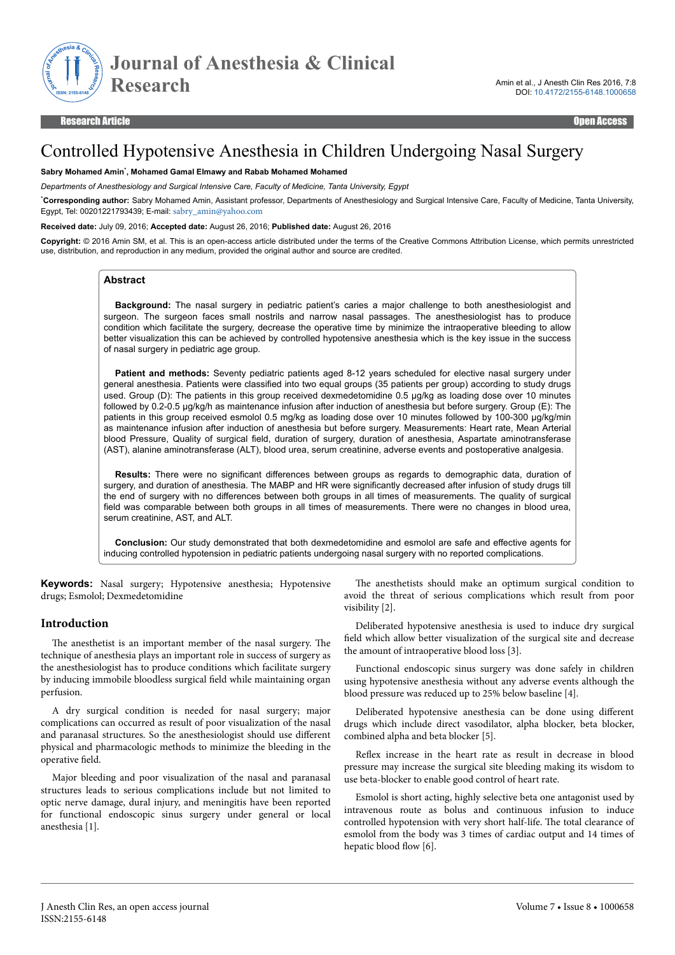

# Controlled Hypotensive Anesthesia in Children Undergoing Nasal Surgery

#### **Sabry Mohamed Amin**\* **, Mohamed Gamal Elmawy and Rabab Mohamed Mohamed**

*Departments of Anesthesiology and Surgical Intensive Care, Faculty of Medicine, Tanta University, Egypt*

\***Corresponding author:** Sabry Mohamed Amin, Assistant professor, Departments of Anesthesiology and Surgical Intensive Care, Faculty of Medicine, Tanta University, Egypt, Tel: 00201221793439; E-mail: [sabry\\_amin@yahoo.com](mailto:sabry_amin@yahoo.com)

#### **Received date:** July 09, 2016; **Accepted date:** August 26, 2016; **Published date:** August 26, 2016

**Copyright:** © 2016 Amin SM, et al. This is an open-access article distributed under the terms of the Creative Commons Attribution License, which permits unrestricted use, distribution, and reproduction in any medium, provided the original author and source are credited.

#### **Abstract**

**Background:** The nasal surgery in pediatric patient's caries a major challenge to both anesthesiologist and surgeon. The surgeon faces small nostrils and narrow nasal passages. The anesthesiologist has to produce condition which facilitate the surgery, decrease the operative time by minimize the intraoperative bleeding to allow better visualization this can be achieved by controlled hypotensive anesthesia which is the key issue in the success of nasal surgery in pediatric age group.

**Patient and methods:** Seventy pediatric patients aged 8-12 years scheduled for elective nasal surgery under general anesthesia. Patients were classified into two equal groups (35 patients per group) according to study drugs used. Group (D): The patients in this group received dexmedetomidine 0.5 μg/kg as loading dose over 10 minutes followed by 0.2-0.5 μg/kg/h as maintenance infusion after induction of anesthesia but before surgery. Group (E): The patients in this group received esmolol 0.5 mg/kg as loading dose over 10 minutes followed by 100-300 μg/kg/min as maintenance infusion after induction of anesthesia but before surgery. Measurements: Heart rate, Mean Arterial blood Pressure, Quality of surgical field, duration of surgery, duration of anesthesia, Aspartate aminotransferase (AST), alanine aminotransferase (ALT), blood urea, serum creatinine, adverse events and postoperative analgesia.

**Results:** There were no significant differences between groups as regards to demographic data, duration of surgery, and duration of anesthesia. The MABP and HR were significantly decreased after infusion of study drugs till the end of surgery with no differences between both groups in all times of measurements. The quality of surgical field was comparable between both groups in all times of measurements. There were no changes in blood urea, serum creatinine, AST, and ALT.

**Conclusion:** Our study demonstrated that both dexmedetomidine and esmolol are safe and effective agents for inducing controlled hypotension in pediatric patients undergoing nasal surgery with no reported complications.

**Keywords:** Nasal surgery; Hypotensive anesthesia; Hypotensive drugs; Esmolol; Dexmedetomidine

#### **Introduction**

The anesthetist is an important member of the nasal surgery. The technique of anesthesia plays an important role in success of surgery as the anesthesiologist has to produce conditions which facilitate surgery by inducing immobile bloodless surgical field while maintaining organ perfusion.

A dry surgical condition is needed for nasal surgery; major complications can occurred as result of poor visualization of the nasal and paranasal structures. So the anesthesiologist should use different physical and pharmacologic methods to minimize the bleeding in the operative field

Major bleeding and poor visualization of the nasal and paranasal structures leads to serious complications include but not limited to optic nerve damage, dural injury, and meningitis have been reported for functional endoscopic sinus surgery under general or local anesthesia [1].

The anesthetists should make an optimum surgical condition to avoid the threat of serious complications which result from poor visibility [2].

Deliberated hypotensive anesthesia is used to induce dry surgical field which allow better visualization of the surgical site and decrease the amount of intraoperative blood loss [3].

Functional endoscopic sinus surgery was done safely in children using hypotensive anesthesia without any adverse events although the blood pressure was reduced up to 25% below baseline [4].

Deliberated hypotensive anesthesia can be done using different drugs which include direct vasodilator, alpha blocker, beta blocker, combined alpha and beta blocker [5].

Reflex increase in the heart rate as result in decrease in blood pressure may increase the surgical site bleeding making its wisdom to use beta-blocker to enable good control of heart rate.

Esmolol is short acting, highly selective beta one antagonist used by intravenous route as bolus and continuous infusion to induce controlled hypotension with very short half-life. Нe total clearance of esmolol from the body was 3 times of cardiac output and 14 times of hepatic blood flow [6].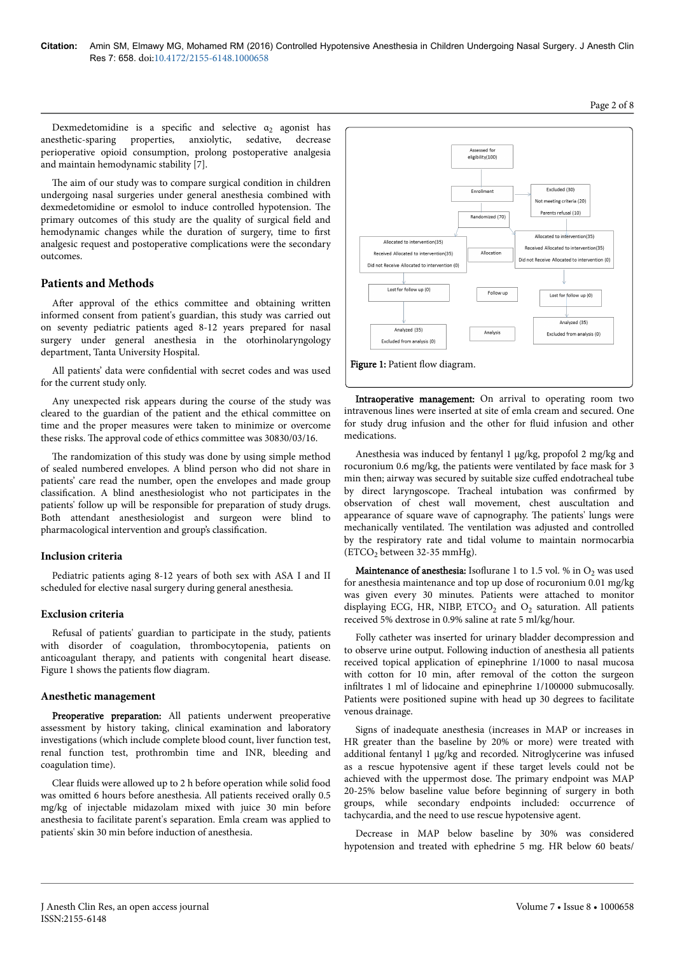Dexmedetomidine is a specific and selective  $\alpha_2$  agonist has anesthetic-sparing properties, anxiolytic, sedative, decrease perioperative opioid consumption, prolong postoperative analgesia and maintain hemodynamic stability [7].

The aim of our study was to compare surgical condition in children undergoing nasal surgeries under general anesthesia combined with dexmedetomidine or esmolol to induce controlled hypotension. Нe primary outcomes of this study are the quality of surgical field and hemodynamic changes while the duration of surgery, time to first analgesic request and postoperative complications were the secondary outcomes.

## **Patients and Methods**

After approval of the ethics committee and obtaining written informed consent from patient's guardian, this study was carried out on seventy pediatric patients aged 8-12 years prepared for nasal surgery under general anesthesia in the otorhinolaryngology department, Tanta University Hospital.

All patients' data were confidential with secret codes and was used for the current study only.

Any unexpected risk appears during the course of the study was cleared to the guardian of the patient and the ethical committee on time and the proper measures were taken to minimize or overcome these risks. Нe approval code of ethics committee was 30830/03/16.

The randomization of this study was done by using simple method of sealed numbered envelopes. A blind person who did not share in patients' care read the number, open the envelopes and made group classification. A blind anesthesiologist who not participates in the patients' follow up will be responsible for preparation of study drugs. Both attendant anesthesiologist and surgeon were blind to pharmacological intervention and group's classification.

### **Inclusion criteria**

Pediatric patients aging 8-12 years of both sex with ASA I and II scheduled for elective nasal surgery during general anesthesia.

### **Exclusion criteria**

Refusal of patients' guardian to participate in the study, patients with disorder of coagulation, thrombocytopenia, patients on anticoagulant therapy, and patients with congenital heart disease. Figure 1 shows the patients flow diagram.

#### **Anesthetic management**

Preoperative preparation: All patients underwent preoperative assessment by history taking, clinical examination and laboratory investigations (which include complete blood count, liver function test, renal function test, prothrombin time and INR, bleeding and coagulation time).

Clear fluids were allowed up to 2 h before operation while solid food was omitted 6 hours before anesthesia. All patients received orally 0.5 mg/kg of injectable midazolam mixed with juice 30 min before anesthesia to facilitate parent's separation. Emla cream was applied to patients' skin 30 min before induction of anesthesia.



Intraoperative management: On arrival to operating room two intravenous lines were inserted at site of emla cream and secured. One for study drug infusion and the other for fluid infusion and other medications.

Anesthesia was induced by fentanyl 1 µg/kg, propofol 2 mg/kg and rocuronium 0.6 mg/kg, the patients were ventilated by face mask for 3 min then; airway was secured by suitable size cuffed endotracheal tube by direct laryngoscope. Tracheal intubation was confirmed by observation of chest wall movement, chest auscultation and appearance of square wave of capnography. Нe patients' lungs were mechanically ventilated. Нe ventilation was adjusted and controlled by the respiratory rate and tidal volume to maintain normocarbia  $(ETCO<sub>2</sub> between 32-35 mmHg).$ 

**Maintenance of anesthesia:** Isoflurane 1 to 1.5 vol. % in  $O_2$  was used for anesthesia maintenance and top up dose of rocuronium 0.01 mg/kg was given every 30 minutes. Patients were attached to monitor displaying ECG, HR, NIBP,  $ETCO<sub>2</sub>$  and  $O<sub>2</sub>$  saturation. All patients received 5% dextrose in 0.9% saline at rate 5 ml/kg/hour.

Folly catheter was inserted for urinary bladder decompression and to observe urine output. Following induction of anesthesia all patients received topical application of epinephrine 1/1000 to nasal mucosa with cotton for 10 min, after removal of the cotton the surgeon infiltrates 1 ml of lidocaine and epinephrine 1/100000 submucosally. Patients were positioned supine with head up 30 degrees to facilitate venous drainage.

Signs of inadequate anesthesia (increases in MAP or increases in HR greater than the baseline by 20% or more) were treated with additional fentanyl 1 µg/kg and recorded. Nitroglycerine was infused as a rescue hypotensive agent if these target levels could not be achieved with the uppermost dose. Нe primary endpoint was MAP 20-25% below baseline value before beginning of surgery in both groups, while secondary endpoints included: occurrence of tachycardia, and the need to use rescue hypotensive agent.

Decrease in MAP below baseline by 30% was considered hypotension and treated with ephedrine 5 mg. HR below 60 beats/

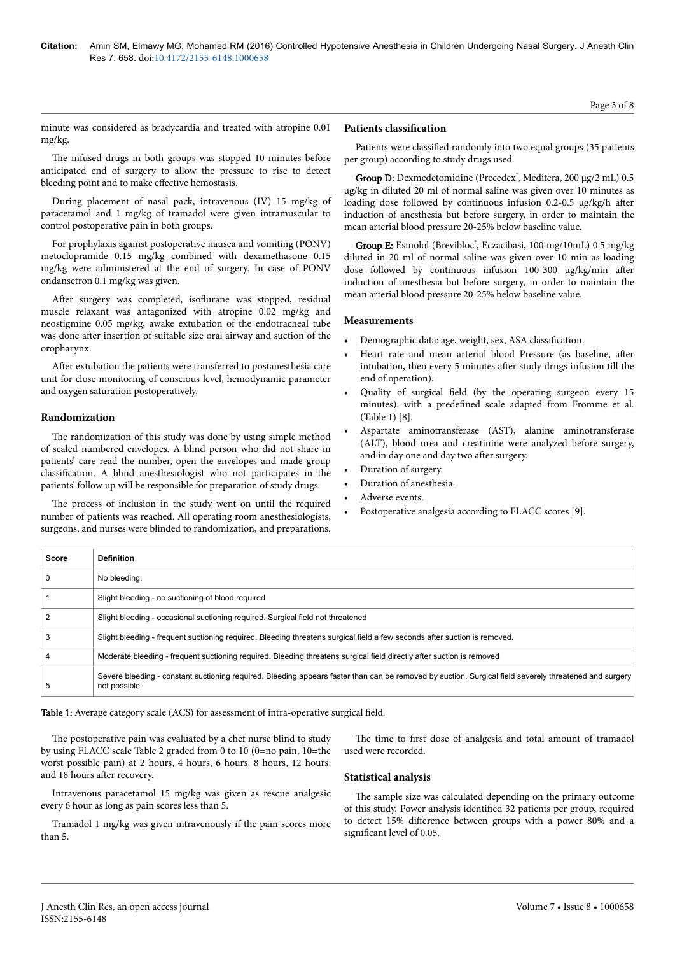minute was considered as bradycardia and treated with atropine 0.01 mg/kg.

The infused drugs in both groups was stopped 10 minutes before anticipated end of surgery to allow the pressure to rise to detect bleeding point and to make effective hemostasis.

During placement of nasal pack, intravenous (IV) 15 mg/kg of paracetamol and 1 mg/kg of tramadol were given intramuscular to control postoperative pain in both groups.

For prophylaxis against postoperative nausea and vomiting (PONV) metoclopramide 0.15 mg/kg combined with dexamethasone 0.15 mg/kg were administered at the end of surgery. In case of PONV ondansetron 0.1 mg/kg was given.

After surgery was completed, isoflurane was stopped, residual muscle relaxant was antagonized with atropine 0.02 mg/kg and neostigmine 0.05 mg/kg, awake extubation of the endotracheal tube was done after insertion of suitable size oral airway and suction of the oropharynx.

After extubation the patients were transferred to postanesthesia care unit for close monitoring of conscious level, hemodynamic parameter and oxygen saturation postoperatively.

## **Randomization**

The randomization of this study was done by using simple method of sealed numbered envelopes. A blind person who did not share in patients' care read the number, open the envelopes and made group classification. A blind anesthesiologist who not participates in the patients' follow up will be responsible for preparation of study drugs.

The process of inclusion in the study went on until the required number of patients was reached. All operating room anesthesiologists, surgeons, and nurses were blinded to randomization, and preparations.

### **Patients classification**

Patients were classified randomly into two equal groups (35 patients per group) according to study drugs used.

Group D: Dexmedetomidine (Precedex<sup>®</sup>, Meditera, 200 μg/2 mL) 0.5 µg/kg in diluted 20 ml of normal saline was given over 10 minutes as loading dose followed by continuous infusion 0.2-0.5 µg/kg/h after induction of anesthesia but before surgery, in order to maintain the mean arterial blood pressure 20-25% below baseline value.

Group E: Esmolol (Brevibloc<sup>°</sup>, Eczacibasi, 100 mg/10mL) 0.5 mg/kg diluted in 20 ml of normal saline was given over 10 min as loading dose followed by continuous infusion  $100-300 \mu g/kg/min$  after induction of anesthesia but before surgery, in order to maintain the mean arterial blood pressure 20-25% below baseline value.

#### **Measurements**

- Demographic data: age, weight, sex, ASA classification.
- Heart rate and mean arterial blood Pressure (as baseline, after intubation, then every 5 minutes after study drugs infusion till the end of operation).
- Quality of surgical field (by the operating surgeon every 15 minutes): with a predefined scale adapted from Fromme et al. (Table 1) [8].
- Aspartate aminotransferase (AST), alanine aminotransferase (ALT), blood urea and creatinine were analyzed before surgery, and in day one and day two after surgery.
- Duration of surgery.
- Duration of anesthesia.
- Adverse events.
- Postoperative analgesia according to FLACC scores [9].

| <b>Score</b> | <b>Definition</b>                                                                                                                                                       |
|--------------|-------------------------------------------------------------------------------------------------------------------------------------------------------------------------|
|              | No bleeding.                                                                                                                                                            |
|              | Slight bleeding - no suctioning of blood required                                                                                                                       |
|              | Slight bleeding - occasional suctioning reguired. Surgical field not threatened                                                                                         |
| 3            | Slight bleeding - frequent suctioning required. Bleeding threatens surgical field a few seconds after suction is removed.                                               |
|              | Moderate bleeding - frequent suctioning required. Bleeding threatens surgical field directly after suction is removed                                                   |
|              | Severe bleeding - constant suctioning required. Bleeding appears faster than can be removed by suction. Surgical field severely threatened and surgery<br>not possible. |

Table 1: Average category scale (ACS) for assessment of intra-operative surgical field.

The postoperative pain was evaluated by a chef nurse blind to study by using FLACC scale Table 2 graded from 0 to 10 (0=no pain, 10=the worst possible pain) at 2 hours, 4 hours, 6 hours, 8 hours, 12 hours, and 18 hours after recovery.

Intravenous paracetamol 15 mg/kg was given as rescue analgesic every 6 hour as long as pain scores less than 5.

Tramadol 1 mg/kg was given intravenously if the pain scores more than 5.

The time to first dose of analgesia and total amount of tramadol used were recorded.

## **Statistical analysis**

The sample size was calculated depending on the primary outcome of this study. Power analysis identified 32 patients per group, required to detect 15% difference between groups with a power 80% and a significant level of 0.05.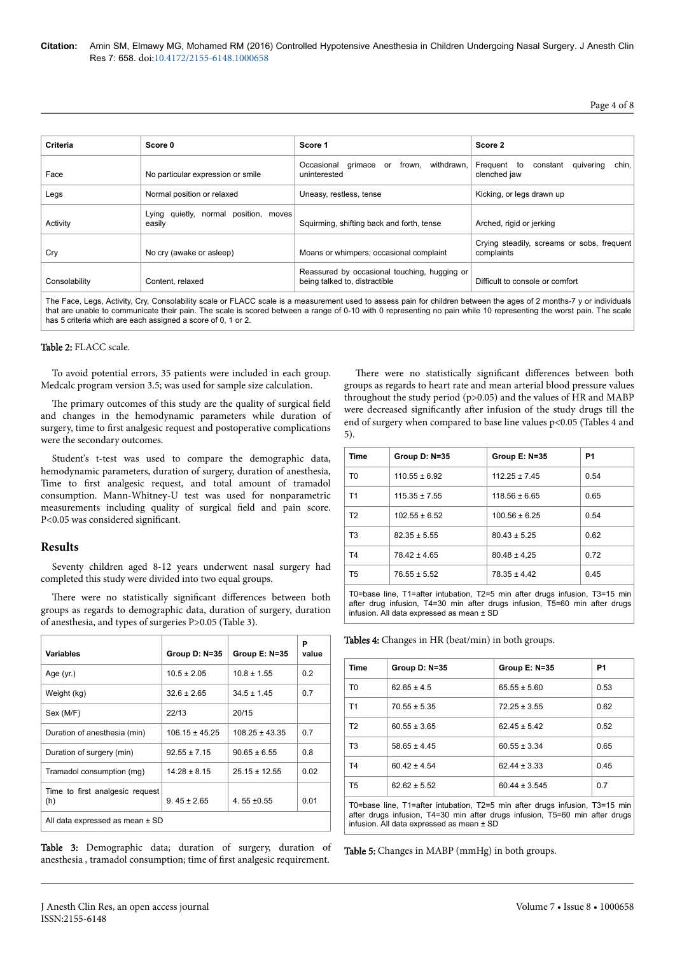# Page 4 of 8

| Criteria      | Score 0                                            | Score 1                                                                       | Score 2                                                       |
|---------------|----------------------------------------------------|-------------------------------------------------------------------------------|---------------------------------------------------------------|
| Face          | No particular expression or smile                  | withdrawn.<br>grimace<br>frown.<br>Occasional<br>or<br>uninterested           | chin,<br>Frequent to<br>constant<br>quivering<br>clenched jaw |
| Legs          | Normal position or relaxed                         | Uneasy, restless, tense                                                       | Kicking, or legs drawn up                                     |
| Activity      | quietly, normal position, moves<br>Lying<br>easily | Squirming, shifting back and forth, tense                                     | Arched, rigid or jerking                                      |
| Cry           | No cry (awake or asleep)                           | Moans or whimpers; occasional complaint                                       | Crying steadily, screams or sobs, frequent<br>complaints      |
| Consolability | Content, relaxed                                   | Reassured by occasional touching, hugging or<br>being talked to, distractible | Difficult to console or comfort                               |

The Face, Legs, Activity, Cry, Consolability scale or FLACC scale is a measurement used to assess pain for children between the ages of 2 months-7 y or individuals that are unable to communicate their pain. The scale is scored between a range of 0-10 with 0 representing no pain while 10 representing the worst pain. The scale has 5 criteria which are each assigned a score of 0, 1 or 2.

### Table 2: FLACC scale.

To avoid potential errors, 35 patients were included in each group. Medcalc program version 3.5; was used for sample size calculation.

The primary outcomes of this study are the quality of surgical field and changes in the hemodynamic parameters while duration of surgery, time to first analgesic request and postoperative complications were the secondary outcomes.

Student's t-test was used to compare the demographic data, hemodynamic parameters, duration of surgery, duration of anesthesia, Time to first analgesic request, and total amount of tramadol consumption. Mann-Whitney-U test was used for nonparametric measurements including quality of surgical field and pain score. P<0.05 was considered significant.

### **Results**

Seventy children aged 8-12 years underwent nasal surgery had completed this study were divided into two equal groups.

There were no statistically significant differences between both groups as regards to demographic data, duration of surgery, duration of anesthesia, and types of surgeries P>0.05 (Table 3).

| Variables                              | Group D: N=35      | Group E: N=35      | Р<br>value |
|----------------------------------------|--------------------|--------------------|------------|
| Age $(yr.)$                            | $10.5 \pm 2.05$    | $10.8 \pm 1.55$    | 0.2        |
| Weight (kg)                            | $32.6 \pm 2.65$    | $34.5 \pm 1.45$    | 0.7        |
| Sex (M/F)                              | 22/13              | 20/15              |            |
| Duration of anesthesia (min)           | $106.15 \pm 45.25$ | $108.25 \pm 43.35$ | 0.7        |
| Duration of surgery (min)              | $92.55 \pm 7.15$   | $90.65 \pm 6.55$   | 0.8        |
| Tramadol consumption (mg)              | $14.28 \pm 8.15$   | $25.15 \pm 12.55$  | 0.02       |
| Time to first analgesic request<br>(h) | $9.45 \pm 2.65$    | 4.55 $\pm$ 0.55    | 0.01       |
| All data expressed as mean ± SD        |                    |                    |            |

Table 3: Demographic data; duration of surgery, duration of anesthesia , tramadol consumption; time of first analgesic requirement.

There were no statistically significant differences between both groups as regards to heart rate and mean arterial blood pressure values throughout the study period (p>0.05) and the values of HR and MABP were decreased significantly after infusion of the study drugs till the end of surgery when compared to base line values p<0.05 (Tables 4 and 5).

| <b>Time</b>    | Group D: N=35     | Group E: N=35     | P1   |
|----------------|-------------------|-------------------|------|
| T <sub>0</sub> | $110.55 \pm 6.92$ | $112.25 \pm 7.45$ | 0.54 |
| T1             | $115.35 \pm 7.55$ | $118.56 \pm 6.65$ | 0.65 |
| T <sub>2</sub> | $102.55 \pm 6.52$ | $100.56 \pm 6.25$ | 0.54 |
| T <sub>3</sub> | $82.35 \pm 5.55$  | $80.43 \pm 5.25$  | 0.62 |
| T <sub>4</sub> | $78.42 \pm 4.65$  | $80.48 \pm 4.25$  | 0.72 |
| T <sub>5</sub> | $76.55 \pm 5.52$  | $78.35 \pm 4.42$  | 0.45 |

T0=base line, T1=after intubation, T2=5 min after drugs infusion, T3=15 min after drug infusion, T4=30 min after drugs infusion, T5=60 min after drugs infusion. All data expressed as mean ± SD

Tables 4: Changes in HR (beat/min) in both groups.

| Time                                                                        | Group D: N=35    | Group E: N=35     | P <sub>1</sub> |  |
|-----------------------------------------------------------------------------|------------------|-------------------|----------------|--|
| T <sub>0</sub>                                                              | $62.65 \pm 4.5$  | $65.55 \pm 5.60$  | 0.53           |  |
| T <sub>1</sub>                                                              | $70.55 \pm 5.35$ | $72.25 \pm 3.55$  | 0.62           |  |
| T <sub>2</sub>                                                              | $60.55 \pm 3.65$ | $62.45 \pm 5.42$  | 0.52           |  |
| T <sub>3</sub>                                                              | $58.65 \pm 4.45$ | $60.55 \pm 3.34$  | 0.65           |  |
| T <sub>4</sub>                                                              | $60.42 \pm 4.54$ | $62.44 \pm 3.33$  | 0.45           |  |
| T <sub>5</sub>                                                              | $62.62 \pm 5.52$ | $60.44 \pm 3.545$ | 0.7            |  |
| T0=base line, T1=after intubation, T2=5 min after drugs infusion, T3=15 min |                  |                   |                |  |

after drugs infusion, T4=30 min after drugs infusion, T5=60 min after drugs infusion. All data expressed as mean ± SD

Table 5: Changes in MABP (mmHg) in both groups.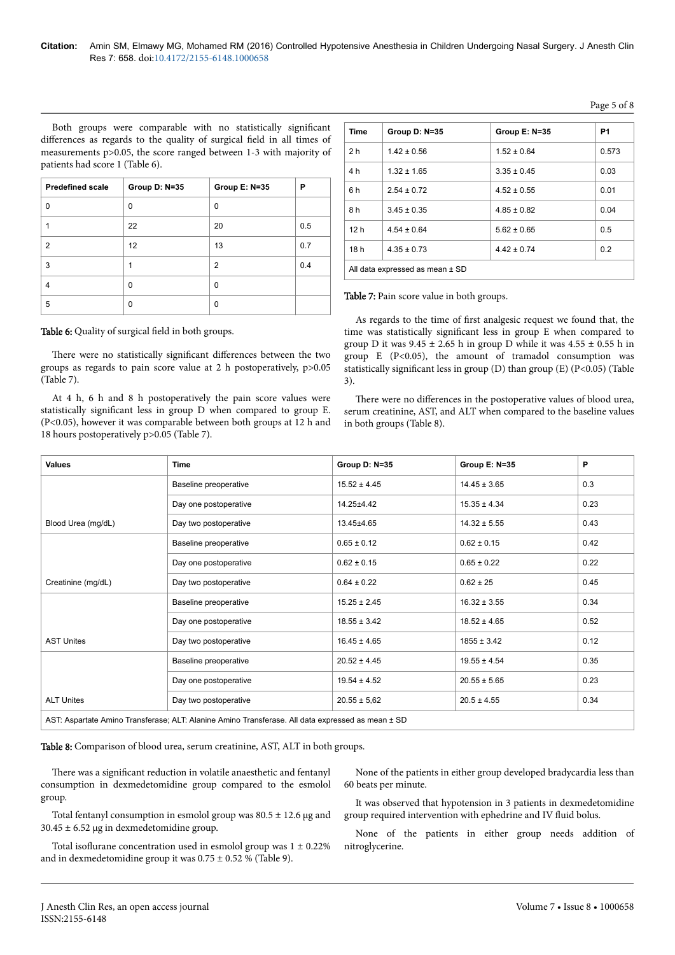Both groups were comparable with no statistically significant differences as regards to the quality of surgical field in all times of measurements p>0.05, the score ranged between 1-3 with majority of patients had score 1 (Table 6).

| <b>Predefined scale</b> | Group D: N=35 | Group E: N=35  | P   |
|-------------------------|---------------|----------------|-----|
| U                       | $\Omega$      | $\Omega$       |     |
|                         | 22            | 20             | 0.5 |
| $\overline{2}$          | 12            | 13             | 0.7 |
| 3                       |               | $\overline{2}$ | 0.4 |
| 4                       | $\Omega$      | 0              |     |
| 5                       | 0             | 0              |     |

There were no statistically significant differences between the two groups as regards to pain score value at 2 h postoperatively, p>0.05

At 4 h, 6 h and 8 h postoperatively the pain score values were statistically significant less in group D when compared to group E. (P<0.05), however it was comparable between both groups at 12 h and

Table 6: Quality of surgical field in both groups.

18 hours postoperatively p>0.05 (Table 7).

(Table 7).

**Time Group D: N=35 Group E: N=35 P1** 2 h  $1.42 + 0.56$   $1.52 + 0.64$  0.573 4 h  $1.32 + 1.65$   $3.35 + 0.45$  0.03 6 h  $\Big| 2.54 \pm 0.72 \Big| 4.52 \pm 0.55 \Big| 0.01$ 8 h  $3.45 \pm 0.35$   $4.85 \pm 0.82$  0.04 12 h  $\left| 4.54 \pm 0.64 \right|$  5.62  $\pm 0.65$  0.5 18 h 4.35 + 0.73 d 4.42 + 0.74 0.2 All data expressed as mean ± SD

Table 7: Pain score value in both groups.

As regards to the time of first analgesic request we found that, the time was statistically significant less in group E when compared to group D it was  $9.45 \pm 2.65$  h in group D while it was  $4.55 \pm 0.55$  h in group  $E$  (P<0.05), the amount of tramadol consumption was statistically significant less in group (D) than group (E) (P<0.05) (Table 3).

There were no differences in the postoperative values of blood urea, serum creatinine, AST, and ALT when compared to the baseline values in both groups (Table 8).

| <b>Values</b>      | <b>Time</b>                                                                                       | Group D: N=35    | Group E: N=35    | P    |
|--------------------|---------------------------------------------------------------------------------------------------|------------------|------------------|------|
|                    | Baseline preoperative                                                                             | $15.52 \pm 4.45$ | $14.45 \pm 3.65$ | 0.3  |
|                    | Day one postoperative                                                                             | 14.25±4.42       | $15.35 \pm 4.34$ | 0.23 |
| Blood Urea (mg/dL) | Day two postoperative                                                                             | 13.45±4.65       | $14.32 \pm 5.55$ | 0.43 |
|                    | Baseline preoperative                                                                             | $0.65 \pm 0.12$  | $0.62 \pm 0.15$  | 0.42 |
|                    | Day one postoperative                                                                             | $0.62 \pm 0.15$  | $0.65 \pm 0.22$  | 0.22 |
| Creatinine (mg/dL) | Day two postoperative                                                                             | $0.64 \pm 0.22$  | $0.62 \pm 25$    | 0.45 |
|                    | Baseline preoperative                                                                             | $15.25 \pm 2.45$ | $16.32 \pm 3.55$ | 0.34 |
|                    | Day one postoperative                                                                             | $18.55 \pm 3.42$ | $18.52 \pm 4.65$ | 0.52 |
| <b>AST Unites</b>  | Day two postoperative                                                                             | $16.45 \pm 4.65$ | $1855 \pm 3.42$  | 0.12 |
|                    | Baseline preoperative                                                                             | $20.52 \pm 4.45$ | $19.55 \pm 4.54$ | 0.35 |
|                    | Day one postoperative                                                                             | $19.54 \pm 4.52$ | $20.55 \pm 5.65$ | 0.23 |
| <b>ALT Unites</b>  | Day two postoperative                                                                             | $20.55 \pm 5.62$ | $20.5 \pm 4.55$  | 0.34 |
|                    | ACT: Appartato Amino Transforoso: ALT: Alonino Amino Transforoso. All data expressed as moon + CD |                  |                  |      |

artate Amino Transferase; ALT: Alanine Amino Transferase. All data expressed as mean ± SD

Table 8: Comparison of blood urea, serum creatinine, AST, ALT in both groups.

There was a significant reduction in volatile anaesthetic and fentanyl consumption in dexmedetomidine group compared to the esmolol group.

Total fentanyl consumption in esmolol group was  $80.5 \pm 12.6$  µg and  $30.45 \pm 6.52$  µg in dexmedetomidine group.

Total isoflurane concentration used in esmolol group was  $1 \pm 0.22\%$ and in dexmedetomidine group it was  $0.75 \pm 0.52$  % (Table 9).

None of the patients in either group developed bradycardia less than 60 beats per minute.

It was observed that hypotension in 3 patients in dexmedetomidine group required intervention with ephedrine and IV fluid bolus.

None of the patients in either group needs addition of nitroglycerine.

Page 5 of 8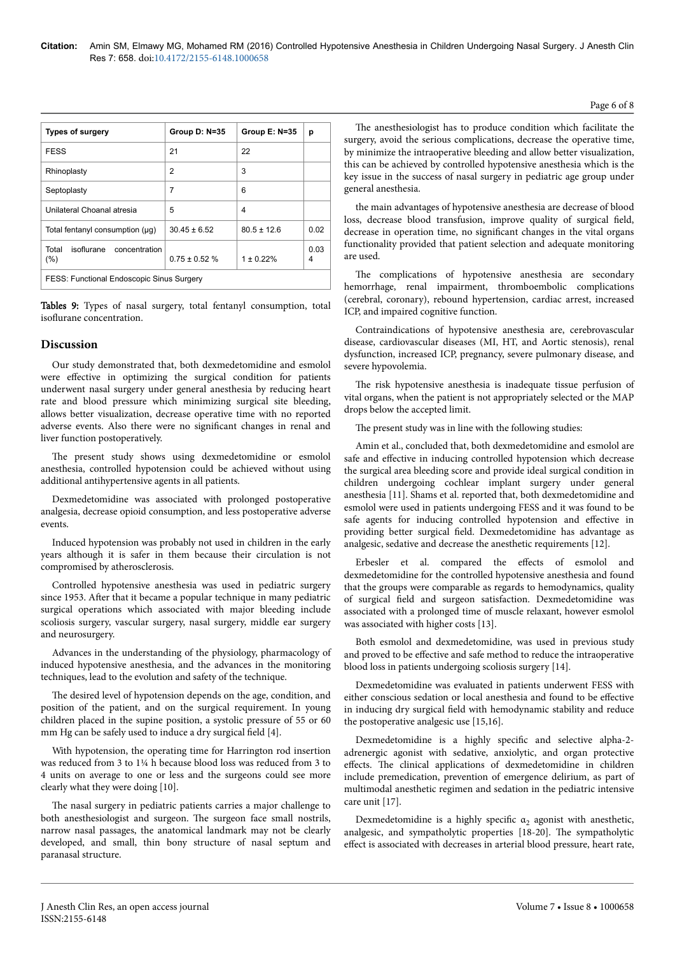| <b>Types of surgery</b>                          | Group D: N=35     | Group E: N=35   | р         |  |
|--------------------------------------------------|-------------------|-----------------|-----------|--|
| <b>FESS</b>                                      | 21                | 22              |           |  |
| Rhinoplasty                                      | 2                 | 3               |           |  |
| Septoplasty                                      | 7                 | 6               |           |  |
| Unilateral Choanal atresia                       | 5                 | 4               |           |  |
| Total fentanyl consumption (µq)                  | $30.45 \pm 6.52$  | $80.5 \pm 12.6$ | 0.02      |  |
| isoflurane<br>Total<br>concentration<br>(%)      | $0.75 \pm 0.52$ % | $1 \pm 0.22\%$  | 0.03<br>4 |  |
| <b>FESS: Functional Endoscopic Sinus Surgery</b> |                   |                 |           |  |

Tables 9: Types of nasal surgery, total fentanyl consumption, total isoflurane concentration.

# **Discussion**

Our study demonstrated that, both dexmedetomidine and esmolol were effective in optimizing the surgical condition for patients underwent nasal surgery under general anesthesia by reducing heart rate and blood pressure which minimizing surgical site bleeding, allows better visualization, decrease operative time with no reported adverse events. Also there were no significant changes in renal and liver function postoperatively.

The present study shows using dexmedetomidine or esmolol anesthesia, controlled hypotension could be achieved without using additional antihypertensive agents in all patients.

Dexmedetomidine was associated with prolonged postoperative analgesia, decrease opioid consumption, and less postoperative adverse events.

Induced hypotension was probably not used in children in the early years although it is safer in them because their circulation is not compromised by atherosclerosis.

Controlled hypotensive anesthesia was used in pediatric surgery since 1953. After that it became a popular technique in many pediatric surgical operations which associated with major bleeding include scoliosis surgery, vascular surgery, nasal surgery, middle ear surgery and neurosurgery.

Advances in the understanding of the physiology, pharmacology of induced hypotensive anesthesia, and the advances in the monitoring techniques, lead to the evolution and safety of the technique.

The desired level of hypotension depends on the age, condition, and position of the patient, and on the surgical requirement. In young children placed in the supine position, a systolic pressure of 55 or 60 mm Hg can be safely used to induce a dry surgical field [4].

With hypotension, the operating time for Harrington rod insertion was reduced from 3 to 1¼ h because blood loss was reduced from 3 to 4 units on average to one or less and the surgeons could see more clearly what they were doing [10].

The nasal surgery in pediatric patients carries a major challenge to both anesthesiologist and surgeon. Нe surgeon face small nostrils, narrow nasal passages, the anatomical landmark may not be clearly developed, and small, thin bony structure of nasal septum and paranasal structure.

The anesthesiologist has to produce condition which facilitate the surgery, avoid the serious complications, decrease the operative time, by minimize the intraoperative bleeding and allow better visualization, this can be achieved by controlled hypotensive anesthesia which is the key issue in the success of nasal surgery in pediatric age group under general anesthesia.

the main advantages of hypotensive anesthesia are decrease of blood loss, decrease blood transfusion, improve quality of surgical field decrease in operation time, no significant changes in the vital organs functionality provided that patient selection and adequate monitoring are used.

The complications of hypotensive anesthesia are secondary hemorrhage, renal impairment, thromboembolic complications (cerebral, coronary), rebound hypertension, cardiac arrest, increased ICP, and impaired cognitive function.

Contraindications of hypotensive anesthesia are, cerebrovascular disease, cardiovascular diseases (MI, HT, and Aortic stenosis), renal dysfunction, increased ICP, pregnancy, severe pulmonary disease, and severe hypovolemia.

The risk hypotensive anesthesia is inadequate tissue perfusion of vital organs, when the patient is not appropriately selected or the MAP drops below the accepted limit.

The present study was in line with the following studies:

Amin et al., concluded that, both dexmedetomidine and esmolol are safe and effective in inducing controlled hypotension which decrease the surgical area bleeding score and provide ideal surgical condition in children undergoing cochlear implant surgery under general anesthesia [11]. Shams et al. reported that, both dexmedetomidine and esmolol were used in patients undergoing FESS and it was found to be safe agents for inducing controlled hypotension and effective in providing better surgical field. Dexmedetomidine has advantage as analgesic, sedative and decrease the anesthetic requirements [12].

Erbesler et al. compared the effects of esmolol and dexmedetomidine for the controlled hypotensive anesthesia and found that the groups were comparable as regards to hemodynamics, quality of surgical field and surgeon satisfaction. Dexmedetomidine was associated with a prolonged time of muscle relaxant, however esmolol was associated with higher costs [13].

Both esmolol and dexmedetomidine, was used in previous study and proved to be effective and safe method to reduce the intraoperative blood loss in patients undergoing scoliosis surgery [14].

Dexmedetomidine was evaluated in patients underwent FESS with either conscious sedation or local anesthesia and found to be effective in inducing dry surgical field with hemodynamic stability and reduce the postoperative analgesic use [15,16].

Dexmedetomidine is a highly specific and selective alpha-2adrenergic agonist with sedative, anxiolytic, and organ protective effects. The clinical applications of dexmedetomidine in children include premedication, prevention of emergence delirium, as part of multimodal anesthetic regimen and sedation in the pediatric intensive care unit [17].

Dexmedetomidine is a highly specific  $\alpha_2$  agonist with anesthetic, analgesic, and sympatholytic properties [18-20]. Нe sympatholytic effect is associated with decreases in arterial blood pressure, heart rate,

Page 6 of 8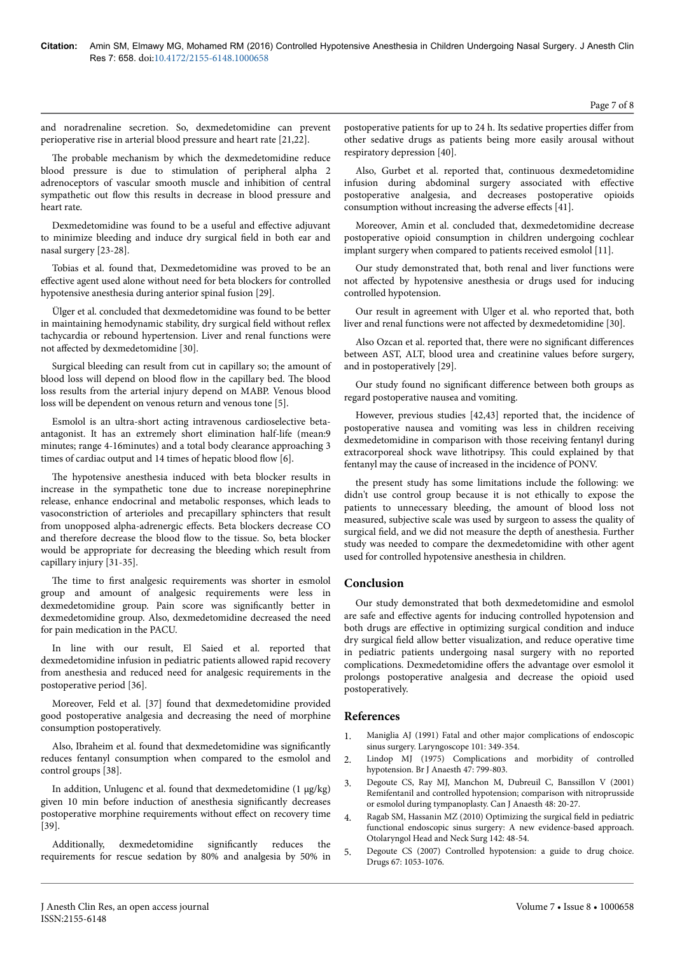and noradrenaline secretion. So, dexmedetomidine can prevent perioperative rise in arterial blood pressure and heart rate [21,22].

The probable mechanism by which the dexmedetomidine reduce blood pressure is due to stimulation of peripheral alpha 2 adrenoceptors of vascular smooth muscle and inhibition of central sympathetic out flow this results in decrease in blood pressure and heart rate.

Dexmedetomidine was found to be a useful and effective adjuvant to minimize bleeding and induce dry surgical field in both ear and nasal surgery [23-28].

Tobias et al. found that, Dexmedetomidine was proved to be an effective agent used alone without need for beta blockers for controlled hypotensive anesthesia during anterior spinal fusion [29].

Ülger et al. concluded that dexmedetomidine was found to be better in maintaining hemodynamic stability, dry surgical field without reflex tachycardia or rebound hypertension. Liver and renal functions were not affected by dexmedetomidine [30].

Surgical bleeding can result from cut in capillary so; the amount of blood loss will depend on blood flow in the capillary bed. Нe blood loss results from the arterial injury depend on MABP. Venous blood loss will be dependent on venous return and venous tone [5].

Esmolol is an ultra-short acting intravenous cardioselective betaantagonist. It has an extremely short elimination half-life (mean:9 minutes; range 4-16minutes) and a total body clearance approaching 3 times of cardiac output and 14 times of hepatic blood flow [6].

The hypotensive anesthesia induced with beta blocker results in increase in the sympathetic tone due to increase norepinephrine release, enhance endocrinal and metabolic responses, which leads to vasoconstriction of arterioles and precapillary sphincters that result from unopposed alpha-adrenergic effects. Beta blockers decrease CO and therefore decrease the blood flow to the tissue. So, beta blocker would be appropriate for decreasing the bleeding which result from capillary injury [31-35].

The time to first analgesic requirements was shorter in esmolol group and amount of analgesic requirements were less in dexmedetomidine group. Pain score was significantly better in dexmedetomidine group. Also, dexmedetomidine decreased the need for pain medication in the PACU.

In line with our result, El Saied et al. reported that dexmedetomidine infusion in pediatric patients allowed rapid recovery from anesthesia and reduced need for analgesic requirements in the postoperative period [36].

Moreover, Feld et al. [37] found that dexmedetomidine provided good postoperative analgesia and decreasing the need of morphine consumption postoperatively.

Also, Ibraheim et al. found that dexmedetomidine was significantly reduces fentanyl consumption when compared to the esmolol and control groups [38].

In addition, Unlugenc et al. found that dexmedetomidine  $(1 \mu g/kg)$ given 10 min before induction of anesthesia significantly decreases postoperative morphine requirements without effect on recovery time [39].

Additionally, dexmedetomidine significantly reduces the requirements for rescue sedation by 80% and analgesia by 50% in

Also, Gurbet et al. reported that, continuous dexmedetomidine infusion during abdominal surgery associated with effective postoperative analgesia, and decreases postoperative opioids consumption without increasing the adverse effects [41].

Moreover, Amin et al. concluded that, dexmedetomidine decrease postoperative opioid consumption in children undergoing cochlear implant surgery when compared to patients received esmolol [11].

Our study demonstrated that, both renal and liver functions were not affected by hypotensive anesthesia or drugs used for inducing controlled hypotension.

Our result in agreement with Ulger et al. who reported that, both liver and renal functions were not affected by dexmedetomidine [30].

Also Ozcan et al. reported that, there were no significant differences between AST, ALT, blood urea and creatinine values before surgery, and in postoperatively [29].

Our study found no significant difference between both groups as regard postoperative nausea and vomiting.

However, previous studies [42,43] reported that, the incidence of postoperative nausea and vomiting was less in children receiving dexmedetomidine in comparison with those receiving fentanyl during extracorporeal shock wave lithotripsy. This could explained by that fentanyl may the cause of increased in the incidence of PONV.

the present study has some limitations include the following: we didn't use control group because it is not ethically to expose the patients to unnecessary bleeding, the amount of blood loss not measured, subjective scale was used by surgeon to assess the quality of surgical field, and we did not measure the depth of anesthesia. Further study was needed to compare the dexmedetomidine with other agent used for controlled hypotensive anesthesia in children.

# **Conclusion**

Our study demonstrated that both dexmedetomidine and esmolol are safe and effective agents for inducing controlled hypotension and both drugs are effective in optimizing surgical condition and induce dry surgical field allow better visualization, and reduce operative time in pediatric patients undergoing nasal surgery with no reported complications. Dexmedetomidine offers the advantage over esmolol it prolongs postoperative analgesia and decrease the opioid used postoperatively.

### **References**

- Maniglia AJ (1991) Fatal and other major complications of endoscopic sinus surgery. Laryngoscope 101: 349-354.
- 2. [Lindop MJ \(1975\) Complications and morbidity of controlled](http://dx.doi.org/10.1093/bja/47.7.799) [hypotension. Br J Anaesth 47: 799-803.](http://dx.doi.org/10.1093/bja/47.7.799)
- 3. [Degoute CS, Ray MJ, Manchon M, Dubreuil C, Banssillon V \(2001\)](http://dx.doi.org/10.1007/BF03019809) [Remifentanil and controlled hypotension; comparison with nitroprusside](http://dx.doi.org/10.1007/BF03019809) [or esmolol during tympanoplasty. Can J Anaesth 48: 20-27.](http://dx.doi.org/10.1007/BF03019809)
- 4. Ragab SM, Hassanin MZ (2010) Optimizing the surgical field in pediatric functional endoscopic sinus surgery: A new evidence-based approach. Otolaryngol Head and Neck Surg 142: 48-54.
- 5. [Degoute CS \(2007\) Controlled hypotension: a guide to drug choice.](http://dx.doi.org/10.2165/00003495-200767070-00007) [Drugs 67: 1053-1076.](http://dx.doi.org/10.2165/00003495-200767070-00007)